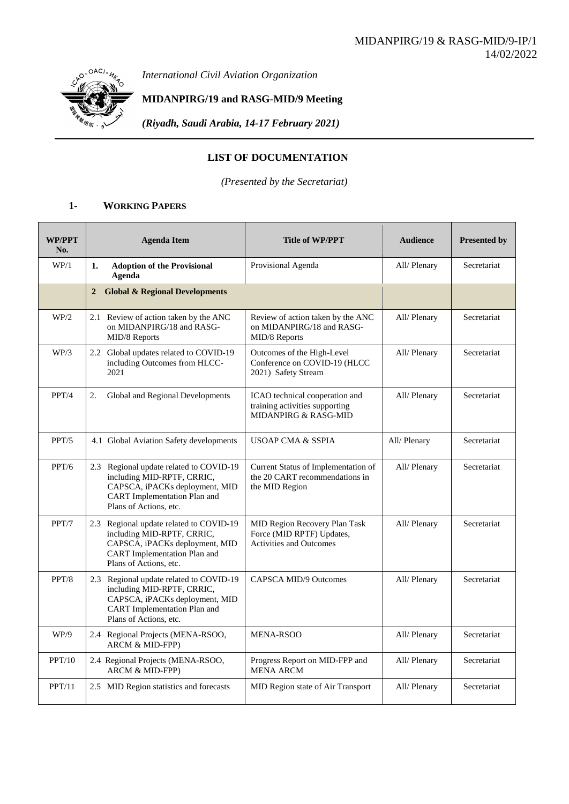*International Civil Aviation Organization*

## **MIDANPIRG/19 and RASG-MID/9 Meeting**

*(Riyadh, Saudi Arabia, 14-17 February 2021)*

## **LIST OF DOCUMENTATION**

*(Presented by the Secretariat)*

## **1- WORKING PAPERS**

| <b>WP/PPT</b><br>No. |              | <b>Agenda Item</b>                                                                                                                                                       | <b>Title of WP/PPT</b>                                                                       | <b>Audience</b> | <b>Presented by</b> |
|----------------------|--------------|--------------------------------------------------------------------------------------------------------------------------------------------------------------------------|----------------------------------------------------------------------------------------------|-----------------|---------------------|
| WP/1                 | 1.           | <b>Adoption of the Provisional</b><br>Agenda                                                                                                                             | Provisional Agenda                                                                           | All/ Plenary    | Secretariat         |
|                      | $\mathbf{2}$ | <b>Global &amp; Regional Developments</b>                                                                                                                                |                                                                                              |                 |                     |
| WP/2                 |              | 2.1 Review of action taken by the ANC<br>on MIDANPIRG/18 and RASG-<br>MID/8 Reports                                                                                      | Review of action taken by the ANC<br>on MIDANPIRG/18 and RASG-<br>MID/8 Reports              | All/ Plenary    | Secretariat         |
| WP/3                 |              | 2.2 Global updates related to COVID-19<br>including Outcomes from HLCC-<br>2021                                                                                          | Outcomes of the High-Level<br>Conference on COVID-19 (HLCC<br>2021) Safety Stream            | All/ Plenary    | Secretariat         |
| PPT/4                | 2.           | Global and Regional Developments                                                                                                                                         | ICAO technical cooperation and<br>training activities supporting<br>MIDANPIRG & RASG-MID     | All/ Plenary    | Secretariat         |
| PPT/5                |              | 4.1 Global Aviation Safety developments                                                                                                                                  | <b>USOAP CMA &amp; SSPIA</b>                                                                 | All/Plenary     | Secretariat         |
| PPT/6                |              | 2.3 Regional update related to COVID-19<br>including MID-RPTF, CRRIC,<br>CAPSCA, iPACKs deployment, MID<br><b>CART</b> Implementation Plan and<br>Plans of Actions, etc. | Current Status of Implementation of<br>the 20 CART recommendations in<br>the MID Region      | All/ Plenary    | Secretariat         |
| PPT/7                |              | 2.3 Regional update related to COVID-19<br>including MID-RPTF, CRRIC,<br>CAPSCA, iPACKs deployment, MID<br>CART Implementation Plan and<br>Plans of Actions, etc.        | MID Region Recovery Plan Task<br>Force (MID RPTF) Updates,<br><b>Activities and Outcomes</b> | All/ Plenary    | Secretariat         |
| PPT/8                |              | 2.3 Regional update related to COVID-19<br>including MID-RPTF, CRRIC,<br>CAPSCA, iPACKs deployment, MID<br><b>CART</b> Implementation Plan and<br>Plans of Actions, etc. | CAPSCA MID/9 Outcomes                                                                        | All/ Plenary    | Secretariat         |
| WP/9                 |              | 2.4 Regional Projects (MENA-RSOO,<br>ARCM & MID-FPP)                                                                                                                     | MENA-RSOO                                                                                    | All/Plenary     | Secretariat         |
| PPT/10               |              | 2.4 Regional Projects (MENA-RSOO,<br>ARCM & MID-FPP)                                                                                                                     | Progress Report on MID-FPP and<br><b>MENA ARCM</b>                                           | All/ Plenary    | Secretariat         |
| PPT/11               |              | 2.5 MID Region statistics and forecasts                                                                                                                                  | MID Region state of Air Transport                                                            | All/Plenary     | Secretariat         |

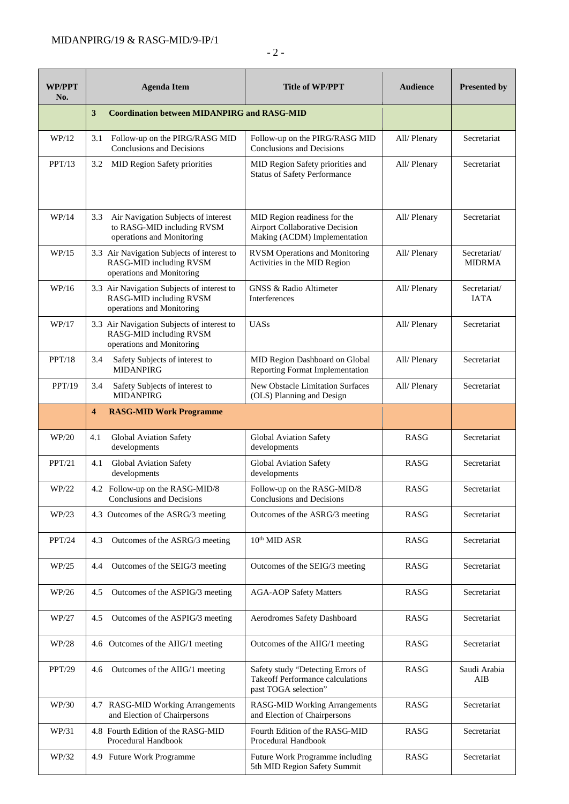| <b>WP/PPT</b><br>No. |                                                         | <b>Agenda Item</b>                                                                                 | Title of WP/PPT                                                                                | <b>Audience</b> | <b>Presented by</b>           |
|----------------------|---------------------------------------------------------|----------------------------------------------------------------------------------------------------|------------------------------------------------------------------------------------------------|-----------------|-------------------------------|
|                      | 3<br><b>Coordination between MIDANPIRG and RASG-MID</b> |                                                                                                    |                                                                                                |                 |                               |
| WP/12                | 3.1                                                     | Follow-up on the PIRG/RASG MID<br>Conclusions and Decisions                                        | Follow-up on the PIRG/RASG MID<br>Conclusions and Decisions                                    | All/ Plenary    | Secretariat                   |
| PPT/13               | 3.2                                                     | MID Region Safety priorities                                                                       | MID Region Safety priorities and<br><b>Status of Safety Performance</b>                        | All/ Plenary    | Secretariat                   |
| WP/14                | 3.3                                                     | Air Navigation Subjects of interest<br>to RASG-MID including RVSM<br>operations and Monitoring     | MID Region readiness for the<br>Airport Collaborative Decision<br>Making (ACDM) Implementation | All/ Plenary    | Secretariat                   |
| WP/15                |                                                         | 3.3 Air Navigation Subjects of interest to<br>RASG-MID including RVSM<br>operations and Monitoring | <b>RVSM Operations and Monitoring</b><br>Activities in the MID Region                          | All/ Plenary    | Secretariat/<br><b>MIDRMA</b> |
| WP/16                |                                                         | 3.3 Air Navigation Subjects of interest to<br>RASG-MID including RVSM<br>operations and Monitoring | <b>GNSS &amp; Radio Altimeter</b><br>Interferences                                             | All/ Plenary    | Secretariat/<br><b>IATA</b>   |
| WP/17                |                                                         | 3.3 Air Navigation Subjects of interest to<br>RASG-MID including RVSM<br>operations and Monitoring | <b>UASs</b>                                                                                    | All/ Plenary    | Secretariat                   |
| PPT/18               | 3.4                                                     | Safety Subjects of interest to<br><b>MIDANPIRG</b>                                                 | MID Region Dashboard on Global<br>Reporting Format Implementation                              | All/ Plenary    | Secretariat                   |
| PPT/19               | 3.4                                                     | Safety Subjects of interest to<br><b>MIDANPIRG</b>                                                 | New Obstacle Limitation Surfaces<br>(OLS) Planning and Design                                  | All/ Plenary    | Secretariat                   |
|                      | 4                                                       | <b>RASG-MID Work Programme</b>                                                                     |                                                                                                |                 |                               |
| WP/20                | 4.1                                                     | Global Aviation Safety<br>developments                                                             | Global Aviation Safety<br>developments                                                         | <b>RASG</b>     | Secretariat                   |
| PPT/21               | 4.1                                                     | Global Aviation Safety<br>developments                                                             | Global Aviation Safety<br>developments                                                         | <b>RASG</b>     | Secretariat                   |
| WP/22                |                                                         | 4.2 Follow-up on the RASG-MID/8<br>Conclusions and Decisions                                       | Follow-up on the RASG-MID/8<br>Conclusions and Decisions                                       | <b>RASG</b>     | Secretariat                   |
| WP/23                |                                                         | 4.3 Outcomes of the ASRG/3 meeting                                                                 | Outcomes of the ASRG/3 meeting                                                                 | <b>RASG</b>     | Secretariat                   |
| PPT/24               | 4.3                                                     | Outcomes of the ASRG/3 meeting                                                                     | 10 <sup>th</sup> MID ASR                                                                       | <b>RASG</b>     | Secretariat                   |
| WP/25                | 4.4                                                     | Outcomes of the SEIG/3 meeting                                                                     | Outcomes of the SEIG/3 meeting                                                                 | <b>RASG</b>     | Secretariat                   |
| WP/26                | 4.5                                                     | Outcomes of the ASPIG/3 meeting                                                                    | <b>AGA-AOP Safety Matters</b>                                                                  | <b>RASG</b>     | Secretariat                   |
| WP/27                | 4.5                                                     | Outcomes of the ASPIG/3 meeting                                                                    | Aerodromes Safety Dashboard                                                                    | <b>RASG</b>     | Secretariat                   |
| WP/28                |                                                         | 4.6 Outcomes of the AIIG/1 meeting                                                                 | Outcomes of the AIIG/1 meeting                                                                 | <b>RASG</b>     | Secretariat                   |
| PPT/29               |                                                         | 4.6 Outcomes of the AIIG/1 meeting                                                                 | Safety study "Detecting Errors of<br>Takeoff Performance calculations<br>past TOGA selection"  | <b>RASG</b>     | Saudi Arabia<br>AIB           |
| WP/30                |                                                         | 4.7 RASG-MID Working Arrangements<br>and Election of Chairpersons                                  | <b>RASG-MID Working Arrangements</b><br>and Election of Chairpersons                           | <b>RASG</b>     | Secretariat                   |
| WP/31                |                                                         | 4.8 Fourth Edition of the RASG-MID<br>Procedural Handbook                                          | Fourth Edition of the RASG-MID<br>Procedural Handbook                                          | RASG            | Secretariat                   |
| WP/32                |                                                         | 4.9 Future Work Programme                                                                          | Future Work Programme including<br>5th MID Region Safety Summit                                | <b>RASG</b>     | Secretariat                   |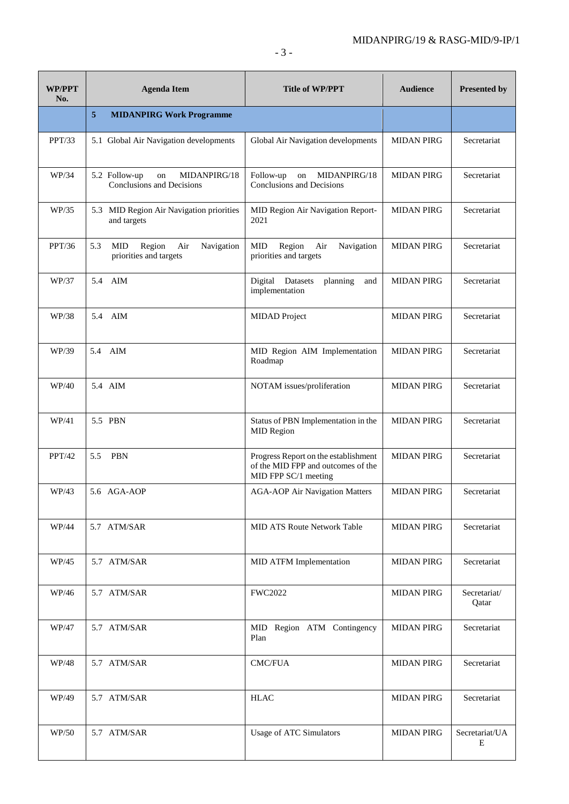| WP/PPT<br>No. | <b>Agenda Item</b>                                                  | <b>Title of WP/PPT</b>                                                                             | <b>Audience</b>   | <b>Presented by</b>   |
|---------------|---------------------------------------------------------------------|----------------------------------------------------------------------------------------------------|-------------------|-----------------------|
|               | 5<br><b>MIDANPIRG Work Programme</b>                                |                                                                                                    |                   |                       |
| PPT/33        | 5.1 Global Air Navigation developments                              | Global Air Navigation developments                                                                 | <b>MIDAN PIRG</b> | Secretariat           |
| WP/34         | 5.2 Follow-up<br>MIDANPIRG/18<br>on<br>Conclusions and Decisions    | Follow-up<br>MIDANPIRG/18<br>on<br>Conclusions and Decisions                                       | <b>MIDAN PIRG</b> | Secretariat           |
| WP/35         | 5.3 MID Region Air Navigation priorities<br>and targets             | MID Region Air Navigation Report-<br>2021                                                          | <b>MIDAN PIRG</b> | Secretariat           |
| PPT/36        | 5.3<br>MID<br>Region<br>Air<br>Navigation<br>priorities and targets | MID<br>Region<br>Navigation<br>Air<br>priorities and targets                                       | <b>MIDAN PIRG</b> | Secretariat           |
| WP/37         | 5.4 AIM                                                             | Digital Datasets<br>planning<br>and<br>implementation                                              | <b>MIDAN PIRG</b> | Secretariat           |
| WP/38         | 5.4 AIM                                                             | <b>MIDAD</b> Project                                                                               | <b>MIDAN PIRG</b> | Secretariat           |
| WP/39         | 5.4 AIM                                                             | MID Region AIM Implementation<br>Roadmap                                                           | <b>MIDAN PIRG</b> | Secretariat           |
| WP/40         | 5.4 AIM                                                             | NOTAM issues/proliferation                                                                         | <b>MIDAN PIRG</b> | Secretariat           |
| WP/41         | 5.5 PBN                                                             | Status of PBN Implementation in the<br><b>MID Region</b>                                           | <b>MIDAN PIRG</b> | Secretariat           |
| PPT/42        | PBN<br>5.5                                                          | Progress Report on the establishment<br>of the MID FPP and outcomes of the<br>MID FPP SC/1 meeting | <b>MIDAN PIRG</b> | Secretariat           |
| WP/43         | 5.6 AGA-AOP                                                         | <b>AGA-AOP Air Navigation Matters</b>                                                              | <b>MIDAN PIRG</b> | Secretariat           |
| WP/44         | 5.7 ATM/SAR                                                         | <b>MID ATS Route Network Table</b>                                                                 | <b>MIDAN PIRG</b> | Secretariat           |
| WP/45         | 5.7 ATM/SAR                                                         | MID ATFM Implementation                                                                            | <b>MIDAN PIRG</b> | Secretariat           |
| WP/46         | 5.7 ATM/SAR                                                         | <b>FWC2022</b>                                                                                     | <b>MIDAN PIRG</b> | Secretariat/<br>Qatar |
| WP/47         | 5.7 ATM/SAR                                                         | MID Region ATM Contingency<br>Plan                                                                 | <b>MIDAN PIRG</b> | Secretariat           |
| WP/48         | 5.7 ATM/SAR                                                         | <b>CMC/FUA</b>                                                                                     | <b>MIDAN PIRG</b> | Secretariat           |
| WP/49         | 5.7 ATM/SAR                                                         | <b>HLAC</b>                                                                                        | <b>MIDAN PIRG</b> | Secretariat           |
| WP/50         | 5.7 ATM/SAR                                                         | Usage of ATC Simulators                                                                            | <b>MIDAN PIRG</b> | Secretariat/UA<br>Ε   |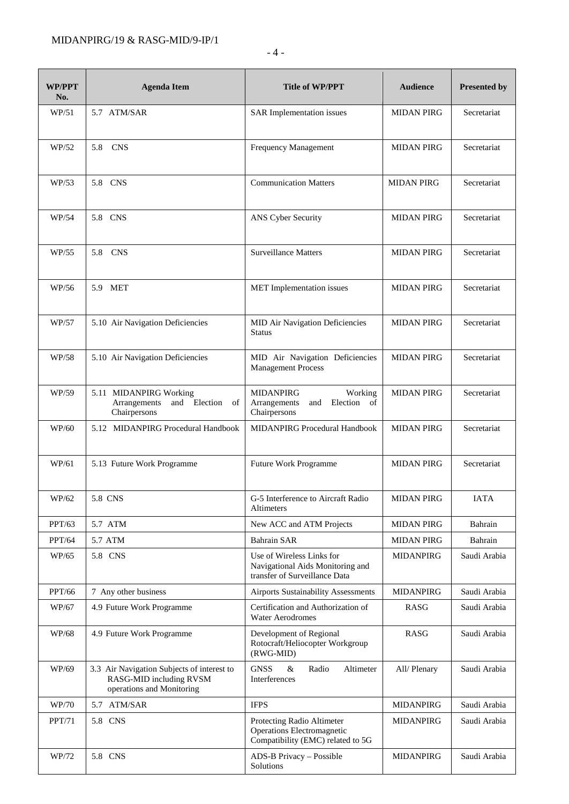| <b>WP/PPT</b><br>No. | <b>Agenda Item</b>                                                                                 | <b>Title of WP/PPT</b>                                                                         | <b>Audience</b>   | <b>Presented by</b> |
|----------------------|----------------------------------------------------------------------------------------------------|------------------------------------------------------------------------------------------------|-------------------|---------------------|
| WP/51                | 5.7 ATM/SAR                                                                                        | SAR Implementation issues                                                                      | <b>MIDAN PIRG</b> | Secretariat         |
| WP/52                | 5.8 CNS                                                                                            | Frequency Management                                                                           | <b>MIDAN PIRG</b> | Secretariat         |
| WP/53                | 5.8 CNS                                                                                            | <b>Communication Matters</b>                                                                   | <b>MIDAN PIRG</b> | Secretariat         |
| WP/54                | 5.8 CNS                                                                                            | ANS Cyber Security                                                                             | <b>MIDAN PIRG</b> | Secretariat         |
| WP/55                | 5.8 CNS                                                                                            | <b>Surveillance Matters</b>                                                                    | <b>MIDAN PIRG</b> | Secretariat         |
| WP/56                | 5.9 MET                                                                                            | MET Implementation issues                                                                      | <b>MIDAN PIRG</b> | Secretariat         |
| WP/57                | 5.10 Air Navigation Deficiencies                                                                   | MID Air Navigation Deficiencies<br><b>Status</b>                                               | <b>MIDAN PIRG</b> | Secretariat         |
| WP/58                | 5.10 Air Navigation Deficiencies                                                                   | MID Air Navigation Deficiencies<br><b>Management Process</b>                                   | <b>MIDAN PIRG</b> | Secretariat         |
| WP/59                | 5.11 MIDANPIRG Working<br>Arrangements<br>and Election<br>of<br>Chairpersons                       | <b>MIDANPIRG</b><br>Working<br>Arrangements<br>Election of<br>and<br>Chairpersons              | <b>MIDAN PIRG</b> | Secretariat         |
| WP/60                | 5.12 MIDANPIRG Procedural Handbook                                                                 | MIDANPIRG Procedural Handbook                                                                  | <b>MIDAN PIRG</b> | Secretariat         |
| WP/61                | 5.13 Future Work Programme                                                                         | Future Work Programme                                                                          | <b>MIDAN PIRG</b> | Secretariat         |
| WP/62                | 5.8 CNS                                                                                            | G-5 Interference to Aircraft Radio<br>Altimeters                                               | <b>MIDAN PIRG</b> | <b>IATA</b>         |
| PPT/63               | 5.7 ATM                                                                                            | New ACC and ATM Projects                                                                       | <b>MIDAN PIRG</b> | Bahrain             |
| PPT/64               | 5.7 ATM                                                                                            | <b>Bahrain SAR</b>                                                                             | <b>MIDAN PIRG</b> | Bahrain             |
| WP/65                | 5.8 CNS                                                                                            | Use of Wireless Links for<br>Navigational Aids Monitoring and<br>transfer of Surveillance Data | <b>MIDANPIRG</b>  | Saudi Arabia        |
| PPT/66               | 7 Any other business                                                                               | Airports Sustainability Assessments                                                            | <b>MIDANPIRG</b>  | Saudi Arabia        |
| WP/67                | 4.9 Future Work Programme                                                                          | Certification and Authorization of<br><b>Water Aerodromes</b>                                  | RASG              | Saudi Arabia        |
| WP/68                | 4.9 Future Work Programme                                                                          | Development of Regional<br>Rotocraft/Heliocopter Workgroup<br>(RWG-MID)                        | RASG              | Saudi Arabia        |
| WP/69                | 3.3 Air Navigation Subjects of interest to<br>RASG-MID including RVSM<br>operations and Monitoring | <b>GNSS</b><br>Radio<br>Altimeter<br>&<br>Interferences                                        | All/Plenary       | Saudi Arabia        |
| WP/70                | 5.7 ATM/SAR                                                                                        | <b>IFPS</b>                                                                                    | <b>MIDANPIRG</b>  | Saudi Arabia        |
| PPT/71               | 5.8 CNS                                                                                            | Protecting Radio Altimeter<br>Operations Electromagnetic<br>Compatibility (EMC) related to 5G  | MIDANPIRG         | Saudi Arabia        |
| WP/72                | 5.8 CNS                                                                                            | ADS-B Privacy - Possible<br>Solutions                                                          | <b>MIDANPIRG</b>  | Saudi Arabia        |